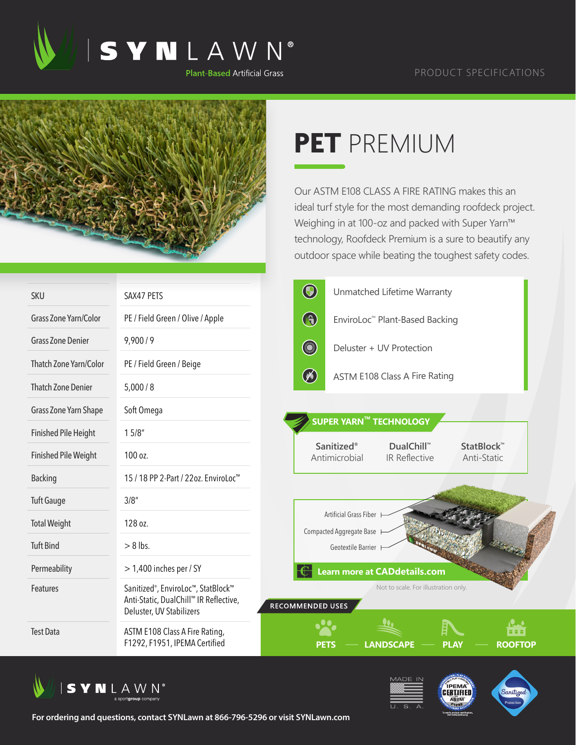



## **PET** PREMIUM

Our ASTM E108 CLASS A FIRE RATING makes this an ideal turf style for the most demanding roofdeck project. Weighing in at 100-oz and packed with Super Yarn™ technology, Roofdeck Premium is a sure to beautify any outdoor space while beating the toughest safety codes.

| <b>SKU</b>                    | SAX47 PETS                                                                                               | $\bigcirc$<br>Unmatched Lifetime Warranty                                                                  |  |  |  |
|-------------------------------|----------------------------------------------------------------------------------------------------------|------------------------------------------------------------------------------------------------------------|--|--|--|
| Grass Zone Yarn/Color         | PE / Field Green / Olive / Apple                                                                         | $\circledR$<br>EnviroLoc™ Plant-Based Backing                                                              |  |  |  |
| <b>Grass Zone Denier</b>      | 9,900/9                                                                                                  | <b>CONTROL</b><br>Deluster + UV Protection                                                                 |  |  |  |
| <b>Thatch Zone Yarn/Color</b> | PE / Field Green / Beige                                                                                 |                                                                                                            |  |  |  |
| <b>Thatch Zone Denier</b>     | 5,000/8                                                                                                  | $(\%)$<br><b>ASTM E108 Class A Fire Rating</b>                                                             |  |  |  |
| Grass Zone Yarn Shape         | Soft Omega                                                                                               | SUPER YARN™ TECHNOLOGY                                                                                     |  |  |  |
| <b>Finished Pile Height</b>   | 15/8"                                                                                                    |                                                                                                            |  |  |  |
| <b>Finished Pile Weight</b>   | 100 oz.                                                                                                  | <b>Sanitized®</b><br>DualChill™<br>StatBlock <sup>™</sup><br>Antimicrobial<br>IR Reflective<br>Anti-Static |  |  |  |
| <b>Backing</b>                | 15 / 18 PP 2-Part / 22oz. EnviroLoc <sup>™</sup>                                                         |                                                                                                            |  |  |  |
| <b>Tuft Gauge</b>             | 3/8''                                                                                                    |                                                                                                            |  |  |  |
| <b>Total Weight</b>           | 128 oz.                                                                                                  | Artificial Grass Fiber<br>Compacted Aggregate Base                                                         |  |  |  |
| <b>Tuft Bind</b>              | $> 8$ lbs.                                                                                               | Geotextile Barrier                                                                                         |  |  |  |
| Permeability                  | $>$ 1,400 inches per / SY                                                                                | Learn more at CADdetails.com                                                                               |  |  |  |
| Features                      | Sanitized®, EnviroLoc™, StatBlock™<br>Anti-Static, DualChill™ IR Reflective,<br>Deluster, UV Stabilizers | Not to scale. For illustration only.<br>RECOMMENDED USES                                                   |  |  |  |
| <b>Test Data</b>              | ASTM E108 Class A Fire Rating,<br>F1292, F1951, IPEMA Certified                                          | 88 B I<br><b>ROOFTOP</b><br><b>LANDSCAPE</b><br>PLAY<br>PETS                                               |  |  |  |







**For ordering and questions, contact SYNLawn at 866-796-5296 or visit SYNLawn.com**